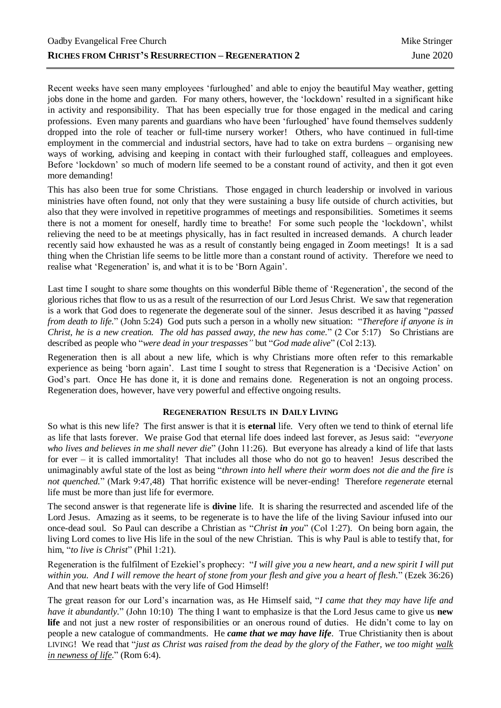Recent weeks have seen many employees 'furloughed' and able to enjoy the beautiful May weather, getting jobs done in the home and garden. For many others, however, the 'lockdown' resulted in a significant hike in activity and responsibility. That has been especially true for those engaged in the medical and caring professions. Even many parents and guardians who have been 'furloughed' have found themselves suddenly dropped into the role of teacher or full-time nursery worker! Others, who have continued in full-time employment in the commercial and industrial sectors, have had to take on extra burdens – organising new ways of working, advising and keeping in contact with their furloughed staff, colleagues and employees. Before 'lockdown' so much of modern life seemed to be a constant round of activity, and then it got even more demanding!

This has also been true for some Christians. Those engaged in church leadership or involved in various ministries have often found, not only that they were sustaining a busy life outside of church activities, but also that they were involved in repetitive programmes of meetings and responsibilities. Sometimes it seems there is not a moment for oneself, hardly time to breathe! For some such people the 'lockdown', whilst relieving the need to be at meetings physically, has in fact resulted in increased demands. A church leader recently said how exhausted he was as a result of constantly being engaged in Zoom meetings! It is a sad thing when the Christian life seems to be little more than a constant round of activity. Therefore we need to realise what 'Regeneration' is, and what it is to be 'Born Again'.

Last time I sought to share some thoughts on this wonderful Bible theme of 'Regeneration', the second of the glorious riches that flow to us as a result of the resurrection of our Lord Jesus Christ. We saw that regeneration is a work that God does to regenerate the degenerate soul of the sinner. Jesus described it as having "*passed from death to life.*" (John 5:24) God puts such a person in a wholly new situation: "*Therefore if anyone is in Christ, he is a new creation. The old has passed away, the new has come.*" (2 Cor 5:17) So Christians are described as people who "*were dead in your trespasses"* but "*God made alive*" (Col 2:13).

Regeneration then is all about a new life, which is why Christians more often refer to this remarkable experience as being 'born again'. Last time I sought to stress that Regeneration is a 'Decisive Action' on God's part. Once He has done it, it is done and remains done. Regeneration is not an ongoing process. Regeneration does, however, have very powerful and effective ongoing results.

## **REGENERATION RESULTS IN DAILY LIVING**

So what is this new life? The first answer is that it is **eternal** life. Very often we tend to think of eternal life as life that lasts forever. We praise God that eternal life does indeed last forever, as Jesus said: "*everyone who lives and believes in me shall never die*" (John 11:26). But everyone has already a kind of life that lasts for ever – it is called immortality! That includes all those who do not go to heaven! Jesus described the unimaginably awful state of the lost as being "*thrown into hell where their worm does not die and the fire is not quenched.*" (Mark 9:47,48) That horrific existence will be never-ending! Therefore *regenerate* eternal life must be more than just life for evermore.

The second answer is that regenerate life is **divine** life. It is sharing the resurrected and ascended life of the Lord Jesus. Amazing as it seems, to be regenerate is to have the life of the living Saviour infused into our once-dead soul. So Paul can describe a Christian as "*Christ in you*" (Col 1:27). On being born again, the living Lord comes to live His life in the soul of the new Christian. This is why Paul is able to testify that, for him, "*to live is Christ*" (Phil 1:21).

Regeneration is the fulfilment of Ezekiel's prophecy: "*I will give you a new heart, and a new spirit I will put within you. And I will remove the heart of stone from your flesh and give you a heart of flesh.*" (Ezek 36:26) And that new heart beats with the very life of God Himself!

The great reason for our Lord's incarnation was, as He Himself said, "*I came that they may have life and have it abundantly.*" (John 10:10) The thing I want to emphasize is that the Lord Jesus came to give us **new**  life and not just a new roster of responsibilities or an onerous round of duties. He didn't come to lay on people a new catalogue of commandments. He *came that we may have life*. True Christianity then is about LIVING! We read that "*just as Christ was raised from the dead by the glory of the Father, we too might walk in newness of life*." (Rom 6:4).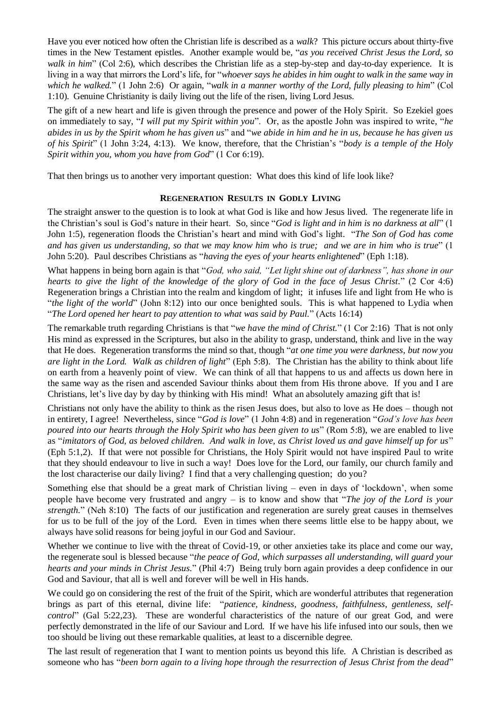Have you ever noticed how often the Christian life is described as a *walk*? This picture occurs about thirty-five times in the New Testament epistles. Another example would be, "*as you received Christ Jesus the Lord, so walk in him*" (Col 2:6), which describes the Christian life as a step-by-step and day-to-day experience. It is living in a way that mirrors the Lord's life, for "*whoever says he abides in him ought to walk in the same way in which he walked.*" (1 John 2:6) Or again, "*walk in a manner worthy of the Lord, fully pleasing to him*" (Col 1:10). Genuine Christianity is daily living out the life of the risen, living Lord Jesus.

The gift of a new heart and life is given through the presence and power of the Holy Spirit. So Ezekiel goes on immediately to say, "*I will put my Spirit within you*". Or, as the apostle John was inspired to write, "*he abides in us by the Spirit whom he has given us*" and "*we abide in him and he in us, because he has given us of his Spirit*" (1 John 3:24, 4:13). We know, therefore, that the Christian's "*body is a temple of the Holy Spirit within you, whom you have from God*" (1 Cor 6:19).

That then brings us to another very important question: What does this kind of life look like?

## **REGENERATION RESULTS IN GODLY LIVING**

The straight answer to the question is to look at what God is like and how Jesus lived. The regenerate life in the Christian's soul is God's nature in their heart. So, since "*God is light and in him is no darkness at all*" (1 John 1:5), regeneration floods the Christian's heart and mind with God's light. "*The Son of God has come and has given us understanding, so that we may know him who is true; and we are in him who is true*" (1 John 5:20). Paul describes Christians as "*having the eyes of your hearts enlightened*" (Eph 1:18).

What happens in being born again is that "*God, who said, "Let light shine out of darkness", has shone in our hearts to give the light of the knowledge of the glory of God in the face of Jesus Christ.*" (2 Cor 4:6) Regeneration brings a Christian into the realm and kingdom of light; it infuses life and light from He who is "*the light of the world*" (John 8:12) into our once benighted souls. This is what happened to Lydia when "*The Lord opened her heart to pay attention to what was said by Paul.*" (Acts 16:14)

The remarkable truth regarding Christians is that "*we have the mind of Christ.*" (1 Cor 2:16) That is not only His mind as expressed in the Scriptures, but also in the ability to grasp, understand, think and live in the way that He does. Regeneration transforms the mind so that, though "*at one time you were darkness, but now you are light in the Lord. Walk as children of light*" (Eph 5:8). The Christian has the ability to think about life on earth from a heavenly point of view. We can think of all that happens to us and affects us down here in the same way as the risen and ascended Saviour thinks about them from His throne above. If you and I are Christians, let's live day by day by thinking with His mind! What an absolutely amazing gift that is!

Christians not only have the ability to think as the risen Jesus does, but also to love as He does – though not in entirety, I agree! Nevertheless, since "*God is love*" (1 John 4:8) and in regeneration "*God's love has been poured into our hearts through the Holy Spirit who has been given to us*" (Rom 5:8), we are enabled to live as "*imitators of God, as beloved children. And walk in love, as Christ loved us and gave himself up for us*" (Eph 5:1,2). If that were not possible for Christians, the Holy Spirit would not have inspired Paul to write that they should endeavour to live in such a way! Does love for the Lord, our family, our church family and the lost characterise our daily living? I find that a very challenging question; do you?

Something else that should be a great mark of Christian living – even in days of 'lockdown', when some people have become very frustrated and angry – is to know and show that "*The joy of the Lord is your strength.*" (Neh 8:10) The facts of our justification and regeneration are surely great causes in themselves for us to be full of the joy of the Lord. Even in times when there seems little else to be happy about, we always have solid reasons for being joyful in our God and Saviour.

Whether we continue to live with the threat of Covid-19, or other anxieties take its place and come our way, the regenerate soul is blessed because "*the peace of God, which surpasses all understanding, will guard your hearts and your minds in Christ Jesus.*" (Phil 4:7) Being truly born again provides a deep confidence in our God and Saviour, that all is well and forever will be well in His hands.

We could go on considering the rest of the fruit of the Spirit, which are wonderful attributes that regeneration brings as part of this eternal, divine life: "*patience, kindness, goodness, faithfulness, gentleness, selfcontrol*" (Gal 5:22,23). These are wonderful characteristics of the nature of our great God, and were perfectly demonstrated in the life of our Saviour and Lord. If we have his life infused into our souls, then we too should be living out these remarkable qualities, at least to a discernible degree.

The last result of regeneration that I want to mention points us beyond this life. A Christian is described as someone who has "*been born again to a living hope through the resurrection of Jesus Christ from the dead*"